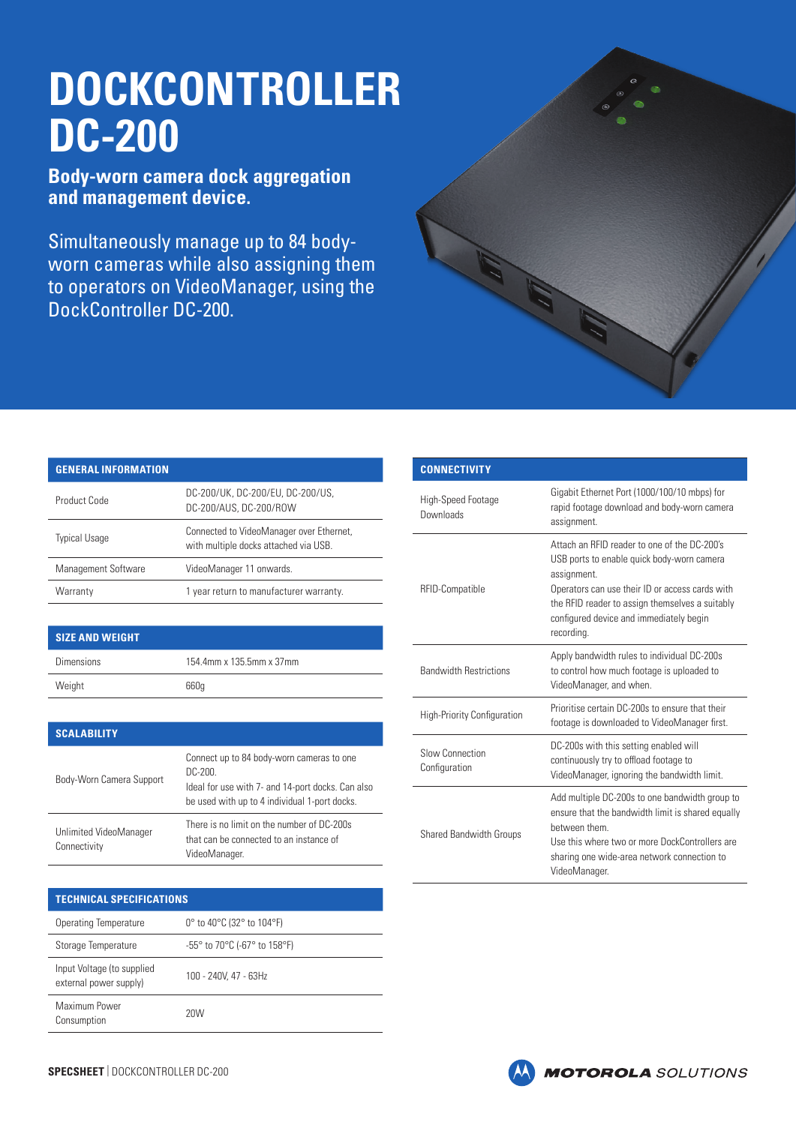## **DOCKCONTROLLER DC-200**

**Body-worn camera dock aggregation and management device.**

Simultaneously manage up to 84 bodyworn cameras while also assigning them to operators on VideoManager, using the DockController DC-200.



## **GENERAL INFORMATION**

| Product Code         | DC-200/UK, DC-200/EU, DC-200/US,<br>DC-200/AUS, DC-200/ROW                        |
|----------------------|-----------------------------------------------------------------------------------|
| <b>Typical Usage</b> | Connected to VideoManager over Ethernet,<br>with multiple docks attached via USB. |
| Management Software  | VideoManager 11 onwards.                                                          |
| Warranty             | 1 year return to manufacturer warranty.                                           |

## **SIZE AND WEIGHT**

| <b>Dimensions</b> | 154.4mm x 135.5mm x 37mm |
|-------------------|--------------------------|
| Weight            | 660q                     |

| <b>SCALABILITY</b>                     |                                                                                                                                                            |
|----------------------------------------|------------------------------------------------------------------------------------------------------------------------------------------------------------|
| Body-Worn Camera Support               | Connect up to 84 body-worn cameras to one<br>DC-200.<br>Ideal for use with 7- and 14-port docks. Can also<br>be used with up to 4 individual 1-port docks. |
| Unlimited VideoManager<br>Connectivity | There is no limit on the number of DC-200s<br>that can be connected to an instance of<br>VideoManager.                                                     |

| <b>TECHNICAL SPECIFICATIONS</b>                      |                                                                       |
|------------------------------------------------------|-----------------------------------------------------------------------|
| Operating Temperature                                | 0 $^{\circ}$ to 40 $^{\circ}$ C (32 $^{\circ}$ to 104 $^{\circ}$ F)   |
| Storage Temperature                                  | $-55^{\circ}$ to 70 $^{\circ}$ C (-67 $^{\circ}$ to 158 $^{\circ}$ F) |
| Input Voltage (to supplied<br>external power supply) | 100 - 240V, 47 - 63Hz                                                 |
| Maximum Power<br>Consumption                         | 20M                                                                   |

| <b>CONNECTIVITY</b>                |                                                                                                                                                                                                                                                                          |
|------------------------------------|--------------------------------------------------------------------------------------------------------------------------------------------------------------------------------------------------------------------------------------------------------------------------|
| High-Speed Footage<br>Downloads    | Gigabit Ethernet Port (1000/100/10 mbps) for<br>rapid footage download and body-worn camera<br>assignment.                                                                                                                                                               |
| RFID-Compatible                    | Attach an REID reader to one of the DC-200's<br>USB ports to enable quick body-worn camera<br>assignment.<br>Operators can use their ID or access cards with<br>the RFID reader to assign themselves a suitably<br>configured device and immediately begin<br>recording. |
| <b>Bandwidth Restrictions</b>      | Apply bandwidth rules to individual DC-200s<br>to control how much footage is uploaded to<br>VideoManager, and when.                                                                                                                                                     |
| <b>High-Priority Configuration</b> | Prioritise certain DC-200s to ensure that their<br>footage is downloaded to VideoManager first.                                                                                                                                                                          |
| Slow Connection<br>Configuration   | DC-200s with this setting enabled will<br>continuously try to offload footage to<br>VideoManager, ignoring the bandwidth limit.                                                                                                                                          |
| <b>Shared Bandwidth Groups</b>     | Add multiple DC-200s to one bandwidth group to<br>ensure that the bandwidth limit is shared equally<br>hetween them<br>Use this where two or more DockControllers are<br>sharing one wide-area network connection to<br>VideoManager.                                    |